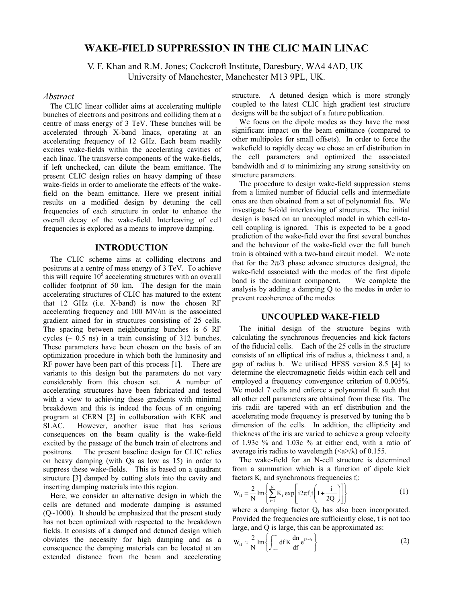# **WAKE-FIELD SUPPRESSIO1 I1 THE CLIC MAI1 LI1AC**

V. F. Khan and R.M. Jones; Cockcroft Institute, Daresbury, WA4 4AD, UK University of Manchester, Manchester M13 9PL, UK.

### *Abstract*

The CLIC linear collider aims at accelerating multiple bunches of electrons and positrons and colliding them at a centre of mass energy of 3 TeV. These bunches will be accelerated through X-band linacs, operating at an accelerating frequency of 12 GHz. Each beam readily excites wake-fields within the accelerating cavities of each linac. The transverse components of the wake-fields, if left unchecked, can dilute the beam emittance. The present CLIC design relies on heavy damping of these wake-fields in order to ameliorate the effects of the wakefield on the beam emittance. Here we present initial results on a modified design by detuning the cell frequencies of each structure in order to enhance the overall decay of the wake-field. Interleaving of cell frequencies is explored as a means to improve damping.

### **I1TRODUCTIO1**

The CLIC scheme aims at colliding electrons and positrons at a centre of mass energy of 3 TeV. To achieve this will require  $10<sup>5</sup>$  accelerating structures with an overall collider footprint of 50 km. The design for the main accelerating structures of CLIC has matured to the extent that 12 GHz (i.e. X-band) is now the chosen RF accelerating frequency and 100 MV/m is the associated gradient aimed for in structures consisting of 25 cells. The spacing between neighbouring bunches is 6 RF cycles  $(\sim 0.5 \text{ ns})$  in a train consisting of 312 bunches. These parameters have been chosen on the basis of an optimization procedure in which both the luminosity and RF power have been part of this process [1]. There are variants to this design but the parameters do not vary considerably from this chosen set. A number of accelerating structures have been fabricated and tested with a view to achieving these gradients with minimal breakdown and this is indeed the focus of an ongoing program at CERN [2] in collaboration with KEK and SLAC. However, another issue that has serious consequences on the beam quality is the wake-field excited by the passage of the bunch train of electrons and positrons. The present baseline design for CLIC relies on heavy damping (with Qs as low as 15) in order to suppress these wake-fields. This is based on a quadrant structure [3] damped by cutting slots into the cavity and inserting damping materials into this region.

Here, we consider an alternative design in which the cells are detuned and moderate damping is assumed  $(Q~1000)$ . It should be emphasized that the present study has not been optimized with respected to the breakdown fields. It consists of a damped and detuned design which obviates the necessity for high damping and as a consequence the damping materials can be located at an extended distance from the beam and accelerating

structure. A detuned design which is more strongly coupled to the latest CLIC high gradient test structure designs will be the subject of a future publication.

We focus on the dipole modes as they have the most significant impact on the beam emittance (compared to other multipoles for small offsets). In order to force the wakefield to rapidly decay we chose an erf distribution in the cell parameters and optimized the associated bandwidth and  $\sigma$  to minimizing any strong sensitivity on structure parameters.

The procedure to design wake-field suppression stems from a limited number of fiducial cells and intermediate ones are then obtained from a set of polynomial fits. We investigate 8-fold interleaving of structures. The initial design is based on an uncoupled model in which cell-tocell coupling is ignored. This is expected to be a good prediction of the wake-field over the first several bunches and the behaviour of the wake-field over the full bunch train is obtained with a two-band circuit model. We note that for the  $2\pi/3$  phase advance structures designed, the wake-field associated with the modes of the first dipole band is the dominant component. We complete the analysis by adding a damping Q to the modes in order to prevent recoherence of the modes

#### **U1COUPLED WAKE-FIELD**

The initial design of the structure begins with calculating the synchronous frequencies and kick factors of the fiducial cells. Each of the 25 cells in the structure consists of an elliptical iris of radius a, thickness t and, a gap of radius b. We utilised HFSS version 8.5 [4] to determine the electromagnetic fields within each cell and employed a frequency convergence criterion of 0.005%. We model 7 cells and enforce a polynomial fit such that all other cell parameters are obtained from these fits. The iris radii are tapered with an erf distribution and the accelerating mode frequency is preserved by tuning the b dimension of the cells. In addition, the ellipticity and thickness of the iris are varied to achieve a group velocity of 1.93c % and 1.03c % at either end, with a ratio of average iris radius to wavelength  $(\langle a \rangle / \lambda)$  of 0.155.

The wake-field for an N-cell structure is determined from a summation which is a function of dipole kick factors  $K_i$  and synchronous frequencies  $f_i$ :

$$
W_{i1} = \frac{2}{N} Im \left\{ \sum_{i=1}^{N} K_i exp \left[ i2\pi f_i t \left( 1 + \frac{i}{2Q_i} \right) \right] \right\}
$$
 (1)

where a damping factor  $Q_i$  has also been incorporated. Provided the frequencies are sufficiently close, t is not too large, and Q is large, this can be approximated as:

$$
W_{t1} \approx \frac{2}{N} Im \left\{ \int_{-\infty}^{\infty} df K \frac{dn}{df} e^{i2\pi ft} \right\}
$$
 (2)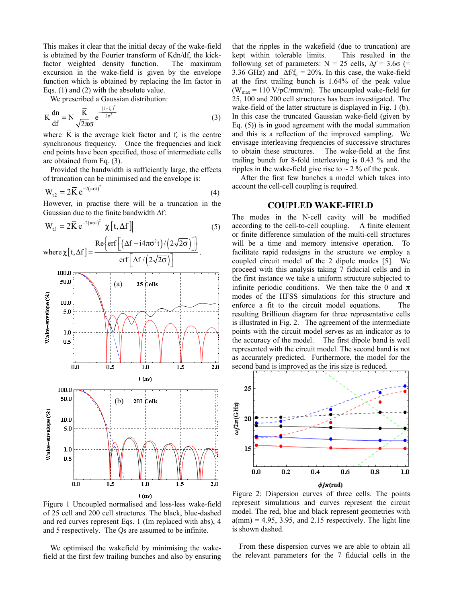This makes it clear that the initial decay of the wake-field is obtained by the Fourier transform of Kdn/df, the kickfactor weighted density function. The maximum excursion in the wake-field is given by the envelope function which is obtained by replacing the Im factor in Eqs. (1) and (2) with the absolute value.

We prescribed a Gaussian distribution:

$$
K\frac{dn}{df} = N\frac{\overline{K}}{\sqrt{2\pi}\sigma}e^{-\frac{(f-f_c)^2}{2\sigma^2}}
$$
 (3)

where  $\overline{K}$  is the average kick factor and  $f_c$  is the centre synchronous frequency. Once the frequencies and kick end points have been specified, those of intermediate cells are obtained from Eq. (3).

Provided the bandwidth is sufficiently large, the effects of truncation can be minimised and the envelope is:

$$
W_{t2} = 2\overline{K} e^{-2(\pi\sigma t)^2}
$$
 (4)

However, in practise there will be a truncation in the Gaussian due to the finite bandwidth Δf:

$$
W_{t3} = 2\overline{K} e^{-2(\pi\sigma t)^2} |\chi[t, \Delta f]|
$$
\n
$$
Re\{\text{erf}\left[(\Delta f - i4\pi\sigma^2 t)/(2\sqrt{2\sigma})\right]\}
$$
\n(5)



Figure 1 Uncoupled normalised and loss-less wake-field of 25 cell and 200 cell structures. The black, blue-dashed and red curves represent Eqs. 1 (Im replaced with abs), 4 and 5 respectively. The Qs are assumed to be infinite.

We optimised the wakefield by minimising the wakefield at the first few trailing bunches and also by ensuring

that the ripples in the wakefield (due to truncation) are kept within tolerable limits. This resulted in the following set of parameters:  $N = 25$  cells,  $\Delta f = 3.6\sigma$  (= 3.36 GHz) and  $\Delta f/f_c = 20\%$ . In this case, the wake-field at the first trailing bunch is 1.64% of the peak value  $(W<sub>max</sub> = 110 V/pC/mm/m)$ . The uncoupled wake-field for 25, 100 and 200 cell structures has been investigated. The wake-field of the latter structure is displayed in Fig. 1 (b). In this case the truncated Gaussian wake-field (given by Eq. (5)) is in good agreement with the modal summation and this is a reflection of the improved sampling. We envisage interleaving frequencies of successive structures to obtain these structures. The wake-field at the first trailing bunch for 8-fold interleaving is 0.43 % and the ripples in the wake-field give rise to  $\sim$  2 % of the peak.

 After the first few bunches a model which takes into account the cell-cell coupling is required.

### **COUPLED WAKE-FIELD**

The modes in the N-cell cavity will be modified according to the cell-to-cell coupling. A finite element or finite difference simulation of the multi-cell structures will be a time and memory intensive operation. To facilitate rapid redesigns in the structure we employ a coupled circuit model of the 2 dipole modes [5]. We proceed with this analysis taking 7 fiducial cells and in the first instance we take a uniform structure subjected to infinite periodic conditions. We then take the 0 and  $\pi$ modes of the HFSS simulations for this structure and enforce a fit to the circuit model equations. The resulting Brillioun diagram for three representative cells is illustrated in Fig. 2. The agreement of the intermediate points with the circuit model serves as an indicator as to the accuracy of the model. The first dipole band is well represented with the circuit model. The second band is not as accurately predicted. Furthermore, the model for the second band is improved as the iris size is reduced.



Figure 2: Dispersion curves of three cells. The points represent simulations and curves represent the circuit model. The red, blue and black represent geometries with  $a$ (mm) = 4.95, 3.95, and 2.15 respectively. The light line is shown dashed.

From these dispersion curves we are able to obtain all the relevant parameters for the 7 fiducial cells in the